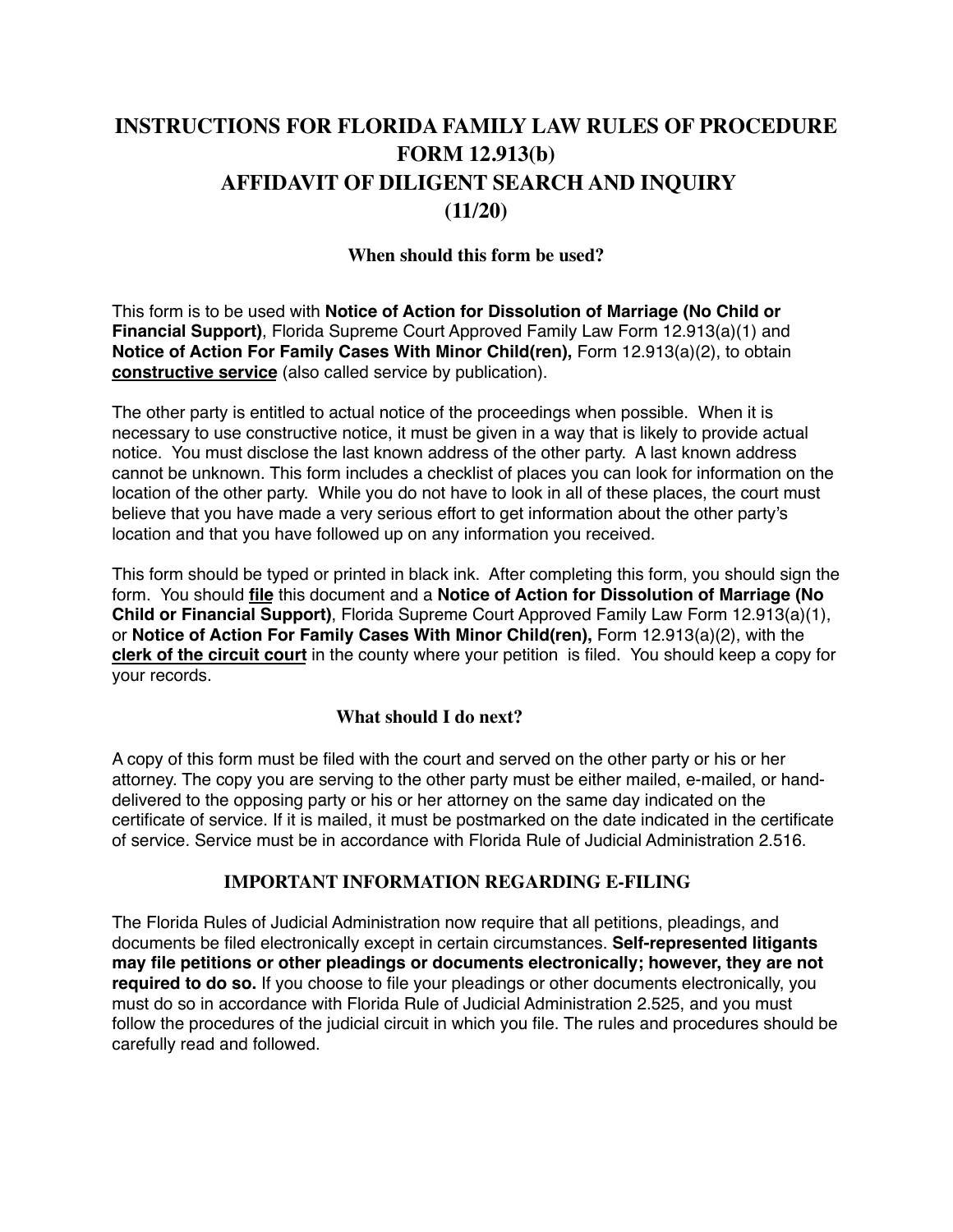# **INSTRUCTIONS FOR FLORIDA FAMILY LAW RULES OF PROCEDURE FORM 12.913(b) AFFIDAVIT OF DILIGENT SEARCH AND INQUIRY (11/20)**

### **When should this form be used?**

This form is to be used with **Notice of Action for Dissolution of Marriage (No Child or Financial Support)**, Florida Supreme Court Approved Family Law Form 12.913(a)(1) and **Notice of Action For Family Cases With Minor Child(ren), Form 12.913(a)(2), to obtain constructive service** (also called service by publication).

The other party is entitled to actual notice of the proceedings when possible. When it is necessary to use constructive notice, it must be given in a way that is likely to provide actual notice. You must disclose the last known address of the other party. A last known address cannot be unknown. This form includes a checklist of places you can look for information on the location of the other party. While you do not have to look in all of these places, the court must believe that you have made a very serious effort to get information about the other party's location and that you have followed up on any information you received.

This form should be typed or printed in black ink. After completing this form, you should sign the form. You should **file** this document and a **Notice of Action for Dissolution of Marriage (No Child or Financial Support)**, Florida Supreme Court Approved Family Law Form 12.913(a)(1), or **Notice of Action For Family Cases With Minor Child(ren),** Form 12.913(a)(2), with the **clerk of the circuit court** in the county where your petition is filed. You should keep a copy for your records.

### **What should I do next?**

A copy of this form must be filed with the court and served on the other party or his or her attorney. The copy you are serving to the other party must be either mailed, e-mailed, or handdelivered to the opposing party or his or her attorney on the same day indicated on the certificate of service. If it is mailed, it must be postmarked on the date indicated in the certificate of service. Service must be in accordance with Florida Rule of Judicial Administration 2.516.

#### **IMPORTANT INFORMATION REGARDING E-FILING**

The Florida Rules of Judicial Administration now require that all petitions, pleadings, and documents be filed electronically except in certain circumstances. **Self-represented litigants may file petitions or other pleadings or documents electronically; however, they are not required to do so.** If you choose to file your pleadings or other documents electronically, you must do so in accordance with Florida Rule of Judicial Administration 2.525, and you must follow the procedures of the judicial circuit in which you file. The rules and procedures should be carefully read and followed.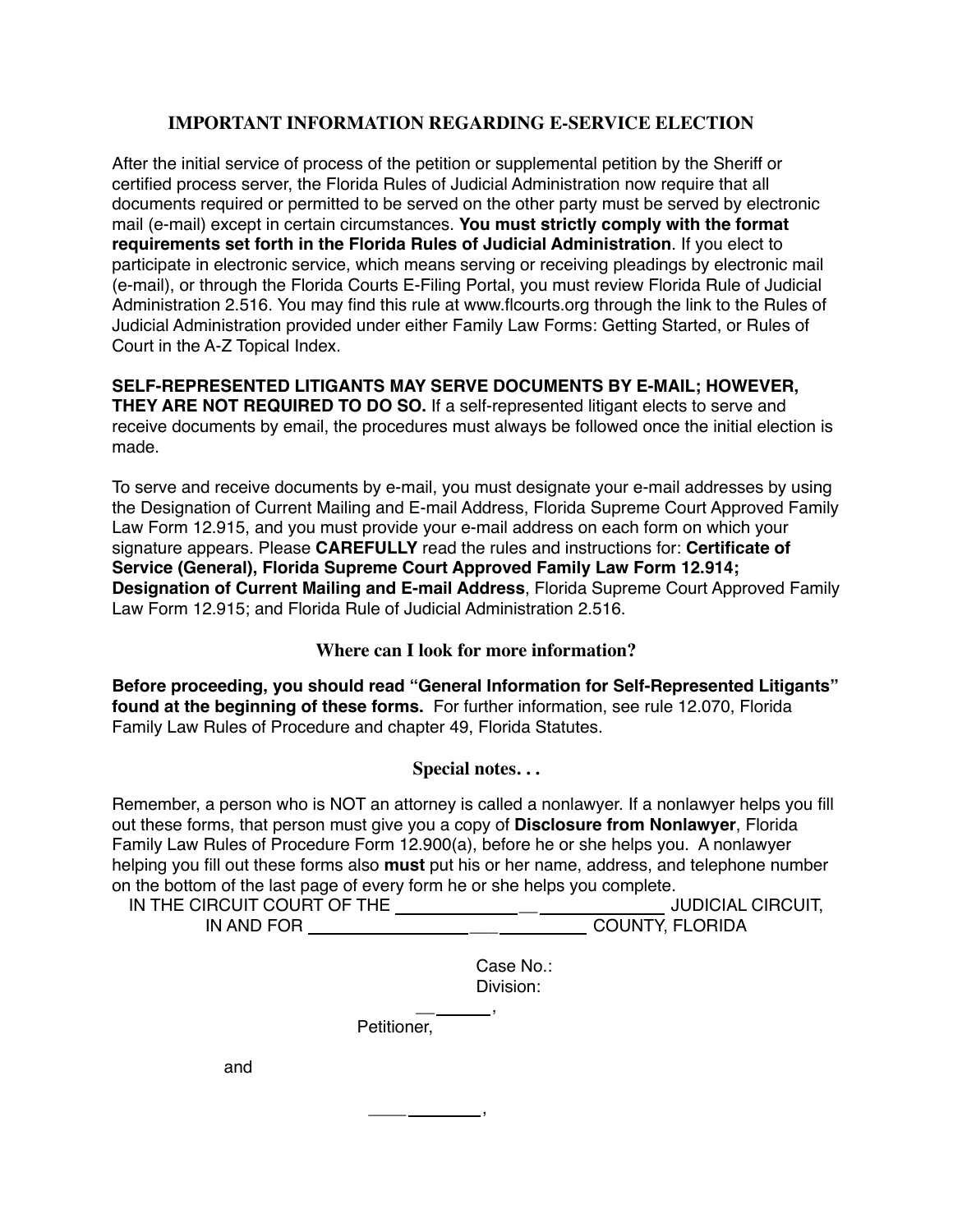### **IMPORTANT INFORMATION REGARDING E-SERVICE ELECTION**

After the initial service of process of the petition or supplemental petition by the Sheriff or certified process server, the Florida Rules of Judicial Administration now require that all documents required or permitted to be served on the other party must be served by electronic mail (e-mail) except in certain circumstances. **You must strictly comply with the format requirements set forth in the Florida Rules of Judicial Administration**. If you elect to participate in electronic service, which means serving or receiving pleadings by electronic mail (e-mail), or through the Florida Courts E-Filing Portal, you must review Florida Rule of Judicial Administration 2.516. You may find this rule at www.flcourts.org through the link to the Rules of Judicial Administration provided under either Family Law Forms: Getting Started, or Rules of Court in the A-Z Topical Index.

#### **SELF-REPRESENTED LITIGANTS MAY SERVE DOCUMENTS BY E-MAIL; HOWEVER, THEY ARE NOT REQUIRED TO DO SO.** If a self-represented litigant elects to serve and receive documents by email, the procedures must always be followed once the initial election is made.

To serve and receive documents by e-mail, you must designate your e-mail addresses by using the Designation of Current Mailing and E-mail Address, Florida Supreme Court Approved Family Law Form 12.915, and you must provide your e-mail address on each form on which your signature appears. Please **CAREFULLY** read the rules and instructions for: **Certificate of Service (General), Florida Supreme Court Approved Family Law Form 12.914; Designation of Current Mailing and E-mail Address**, Florida Supreme Court Approved Family Law Form 12.915; and Florida Rule of Judicial Administration 2.516.

### **Where can I look for more information?**

**Before proceeding, you should read "General Information for Self-Represented Litigants" found at the beginning of these forms.** For further information, see rule 12.070, Florida Family Law Rules of Procedure and chapter 49, Florida Statutes.

## **Special notes. . .**

Remember, a person who is NOT an attorney is called a nonlawyer. If a nonlawyer helps you fill out these forms, that person must give you a copy of **Disclosure from Nonlawyer**, Florida Family Law Rules of Procedure Form 12.900(a), before he or she helps you. A nonlawyer helping you fill out these forms also **must** put his or her name, address, and telephone number on the bottom of the last page of every form he or she helps you complete.

| IN THE CIRCUIT COURT OF THE | JUDICIAL CIRCUIT,      |
|-----------------------------|------------------------|
| IN AND FOR                  | <b>COUNTY, FLORIDA</b> |

Case No.: Division:

Petitioner,

 $\overline{\phantom{a}}$  , and the set of  $\overline{\phantom{a}}$  , and the set of  $\overline{\phantom{a}}$  , and the set of  $\overline{\phantom{a}}$  , and the set of  $\overline{\phantom{a}}$  , and the set of  $\overline{\phantom{a}}$  , and the set of  $\overline{\phantom{a}}$  , and the set of  $\overline{\phantom{a}}$  , and

 $\overline{\phantom{a}}$  , and the set of the set of the set of the set of the set of the set of the set of the set of the set of the set of the set of the set of the set of the set of the set of the set of the set of the set of the s

and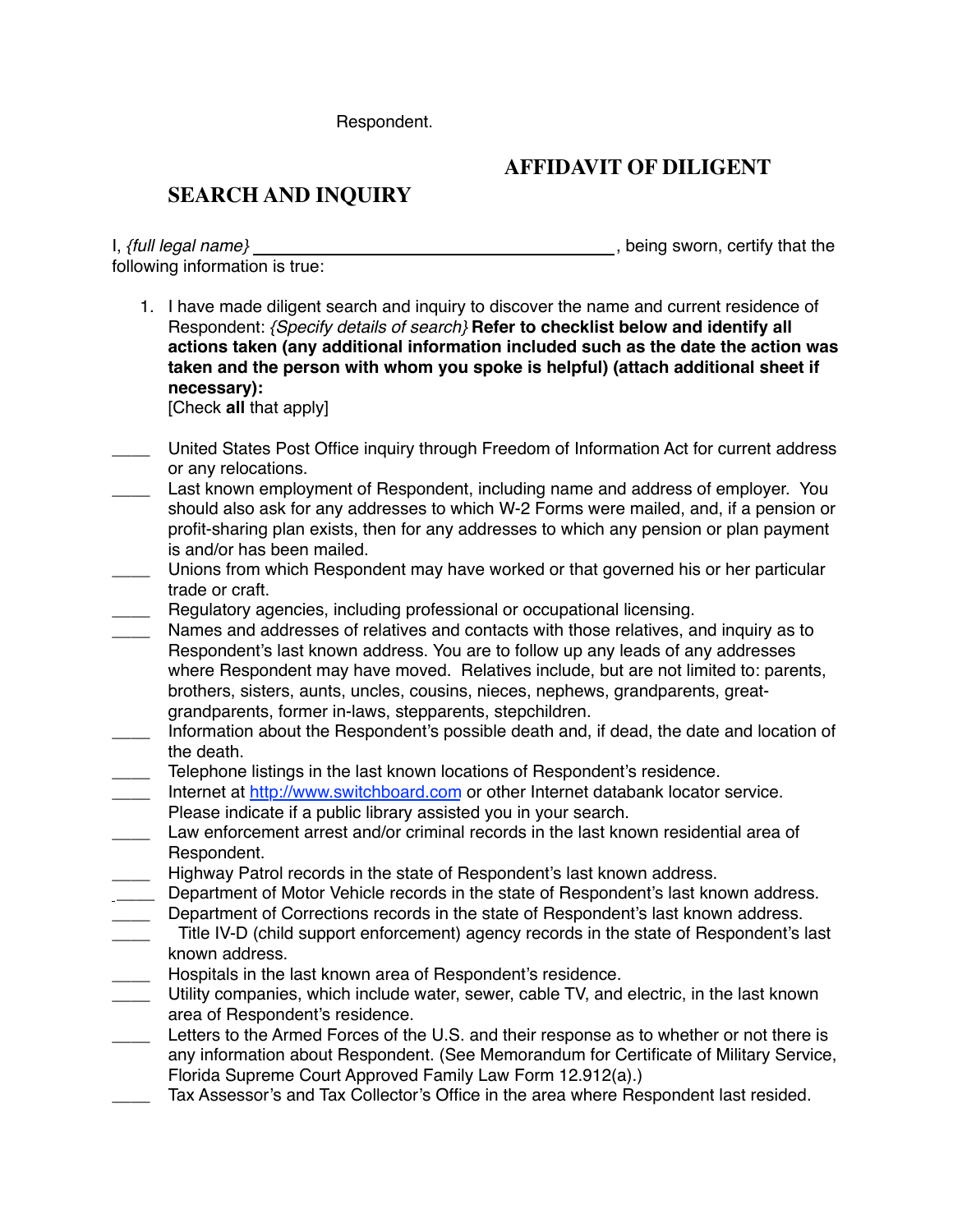Respondent.

# **AFFIDAVIT OF DILIGENT**

# **SEARCH AND INQUIRY**

I, *{full legal name}* 1. If  $\frac{d}{dx}$  , being sworn, certify that the following information is true:

1. I have made diligent search and inquiry to discover the name and current residence of Respondent: *{Specify details of search}* **Refer to checklist below and identify all actions taken (any additional information included such as the date the action was taken and the person with whom you spoke is helpful) (attach additional sheet if necessary):**

[Check **all** that apply]

- \_\_\_\_ United States Post Office inquiry through Freedom of Information Act for current address or any relocations.
- Last known employment of Respondent, including name and address of employer. You should also ask for any addresses to which W-2 Forms were mailed, and, if a pension or profit-sharing plan exists, then for any addresses to which any pension or plan payment is and/or has been mailed.
- Unions from which Respondent may have worked or that governed his or her particular trade or craft.
- Regulatory agencies, including professional or occupational licensing.
- Names and addresses of relatives and contacts with those relatives, and inquiry as to Respondent's last known address. You are to follow up any leads of any addresses where Respondent may have moved. Relatives include, but are not limited to: parents, brothers, sisters, aunts, uncles, cousins, nieces, nephews, grandparents, greatgrandparents, former in-laws, stepparents, stepchildren.
- Information about the Respondent's possible death and, if dead, the date and location of the death.
- \_\_\_\_ Telephone listings in the last known locations of Respondent's residence.
- Internet at http://www.switchboard.com or other Internet databank locator service. Please indicate if a public library assisted you in your search.
- Law enforcement arrest and/or criminal records in the last known residential area of Respondent.
- \_\_\_\_ Highway Patrol records in the state of Respondent's last known address.
- \_\_\_\_ Department of Motor Vehicle records in the state of Respondent's last known address.
- \_\_\_\_ Department of Corrections records in the state of Respondent's last known address. Title IV-D (child support enforcement) agency records in the state of Respondent's last known address.
- **EXECT** Hospitals in the last known area of Respondent's residence.
- \_\_\_\_ Utility companies, which include water, sewer, cable TV, and electric, in the last known area of Respondent's residence.
- Letters to the Armed Forces of the U.S. and their response as to whether or not there is any information about Respondent. (See Memorandum for Certificate of Military Service, Florida Supreme Court Approved Family Law Form 12.912(a).)
- Tax Assessor's and Tax Collector's Office in the area where Respondent last resided.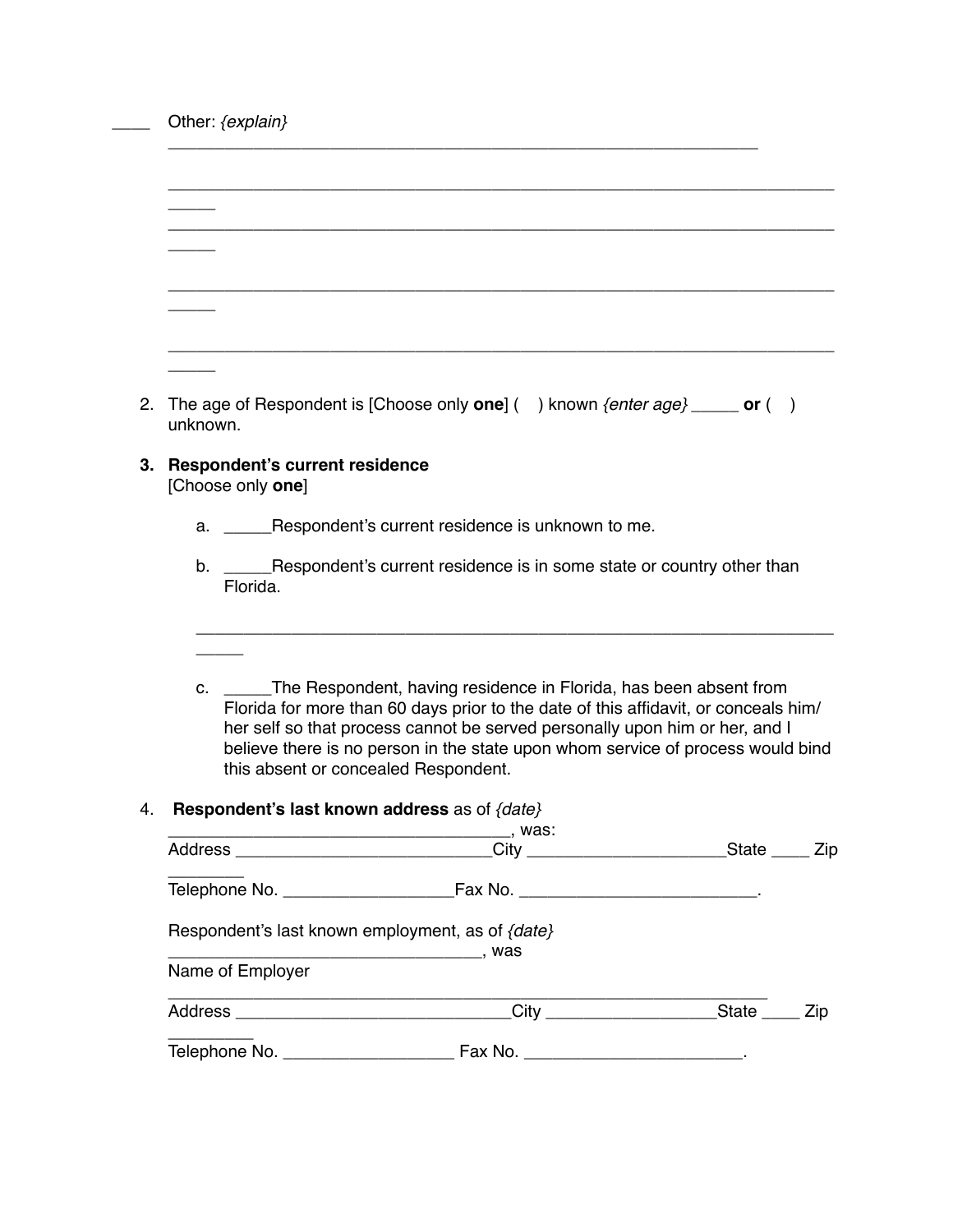\_\_\_\_ Other: *{explain}*

| 2. The age of Respondent is [Choose only one] () known $\{enter \ age\}$ ______ or ()<br>unknown. |
|---------------------------------------------------------------------------------------------------|

\_\_\_\_\_\_\_\_\_\_\_\_\_\_\_\_\_\_\_\_\_\_\_\_\_\_\_\_\_\_\_\_\_\_\_\_\_\_\_\_\_\_\_\_\_\_\_\_\_\_\_\_\_\_\_\_\_\_\_\_\_\_

**3. Respondent's current residence**

[Choose only **one**]

- a. \_\_\_\_\_Respondent's current residence is unknown to me.
- b. \_\_\_\_\_Respondent's current residence is in some state or country other than Florida.
- c. \_\_\_\_\_The Respondent, having residence in Florida, has been absent from Florida for more than 60 days prior to the date of this affidavit, or conceals him/ her self so that process cannot be served personally upon him or her, and I believe there is no person in the state upon whom service of process would bind this absent or concealed Respondent.

\_\_\_\_\_\_\_\_\_\_\_\_\_\_\_\_\_\_\_\_\_\_\_\_\_\_\_\_\_\_\_\_\_\_\_\_\_\_\_\_\_\_\_\_\_\_\_\_\_\_\_\_\_\_\_\_\_\_\_\_\_\_\_\_\_\_\_

#### 4. **Respondent's last known address** as of *{date}*

|                  |                                                                                      | _State _____ Zip |  |
|------------------|--------------------------------------------------------------------------------------|------------------|--|
|                  |                                                                                      |                  |  |
|                  | Respondent's last known employment, as of {date}                                     |                  |  |
| Name of Employer |                                                                                      |                  |  |
|                  | Address ________________________________City _______________________State ______ Zip |                  |  |
|                  |                                                                                      |                  |  |